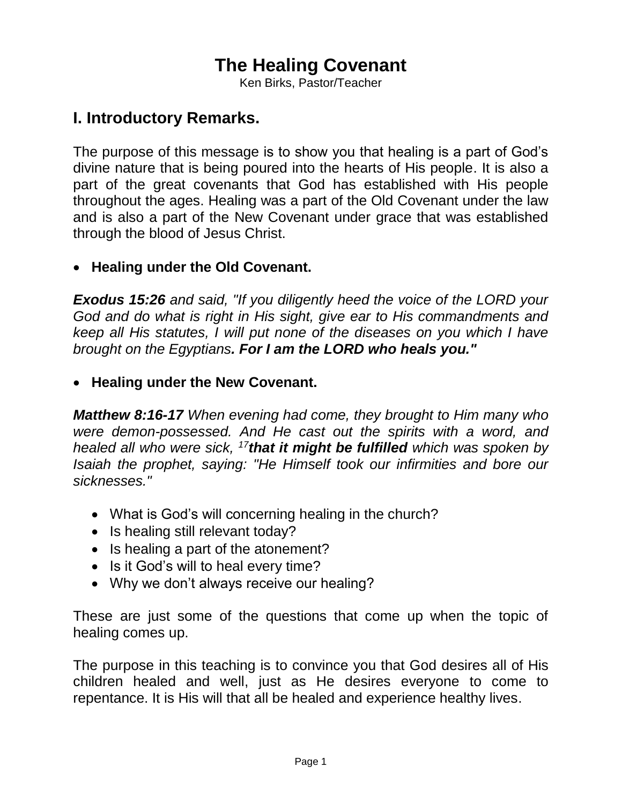# **The Healing Covenant**

Ken Birks, Pastor/Teacher

## **I. Introductory Remarks.**

The purpose of this message is to show you that healing is a part of God's divine nature that is being poured into the hearts of His people. It is also a part of the great covenants that God has established with His people throughout the ages. Healing was a part of the Old Covenant under the law and is also a part of the New Covenant under grace that was established through the blood of Jesus Christ.

### **Healing under the Old Covenant.**

*Exodus 15:26 and said, "If you diligently heed the voice of the LORD your God and do what is right in His sight, give ear to His commandments and keep all His statutes, I will put none of the diseases on you which I have brought on the Egyptians. For I am the LORD who heals you."*

#### **Healing under the New Covenant.**

*Matthew 8:16-17 When evening had come, they brought to Him many who were demon-possessed. And He cast out the spirits with a word, and healed all who were sick, <sup>17</sup>that it might be fulfilled which was spoken by Isaiah the prophet, saying: "He Himself took our infirmities and bore our sicknesses."*

- What is God's will concerning healing in the church?
- Is healing still relevant today?
- Is healing a part of the atonement?
- Is it God's will to heal every time?
- Why we don't always receive our healing?

These are just some of the questions that come up when the topic of healing comes up.

The purpose in this teaching is to convince you that God desires all of His children healed and well, just as He desires everyone to come to repentance. It is His will that all be healed and experience healthy lives.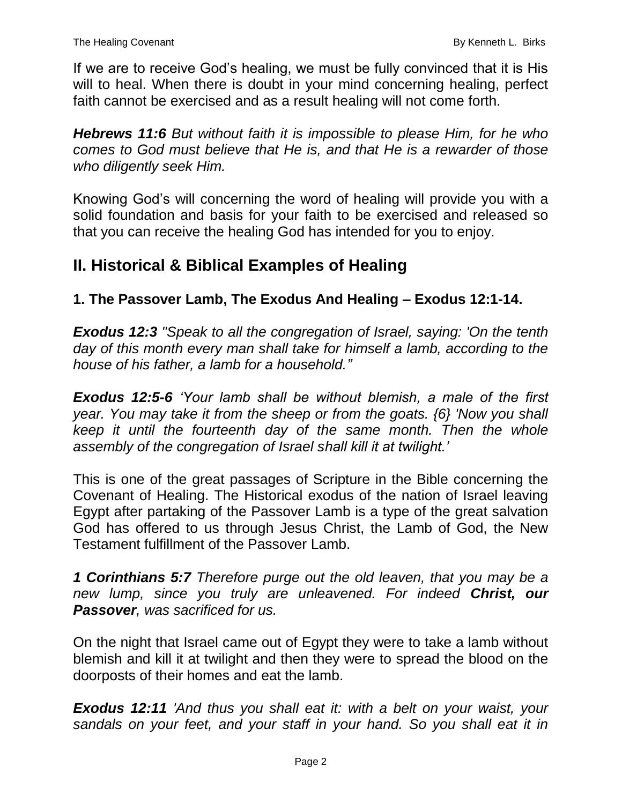If we are to receive God's healing, we must be fully convinced that it is His will to heal. When there is doubt in your mind concerning healing, perfect faith cannot be exercised and as a result healing will not come forth.

*Hebrews 11:6 But without faith it is impossible to please Him, for he who comes to God must believe that He is, and that He is a rewarder of those who diligently seek Him.*

Knowing God's will concerning the word of healing will provide you with a solid foundation and basis for your faith to be exercised and released so that you can receive the healing God has intended for you to enjoy.

# **II. Historical & Biblical Examples of Healing**

**1. The Passover Lamb, The Exodus And Healing – Exodus 12:1-14.**

*Exodus 12:3 "Speak to all the congregation of Israel, saying: 'On the tenth day of this month every man shall take for himself a lamb, according to the house of his father, a lamb for a household."*

*Exodus 12:5-6 'Your lamb shall be without blemish, a male of the first year. You may take it from the sheep or from the goats. {6} 'Now you shall keep it until the fourteenth day of the same month. Then the whole assembly of the congregation of Israel shall kill it at twilight.'*

This is one of the great passages of Scripture in the Bible concerning the Covenant of Healing. The Historical exodus of the nation of Israel leaving Egypt after partaking of the Passover Lamb is a type of the great salvation God has offered to us through Jesus Christ, the Lamb of God, the New Testament fulfillment of the Passover Lamb.

*1 Corinthians 5:7 Therefore purge out the old leaven, that you may be a new lump, since you truly are unleavened. For indeed Christ, our Passover, was sacrificed for us.*

On the night that Israel came out of Egypt they were to take a lamb without blemish and kill it at twilight and then they were to spread the blood on the doorposts of their homes and eat the lamb.

*Exodus 12:11 'And thus you shall eat it: with a belt on your waist, your sandals on your feet, and your staff in your hand. So you shall eat it in*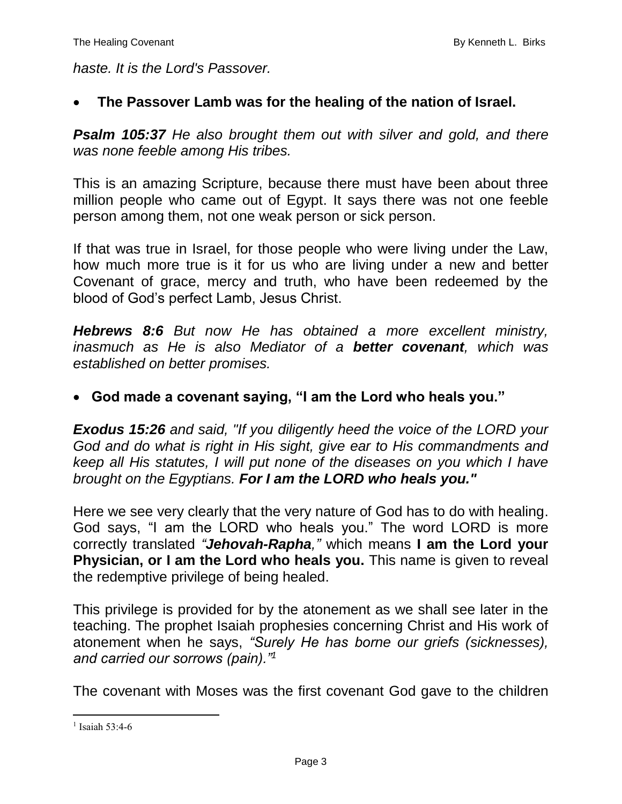*haste. It is the Lord's Passover.*

#### **The Passover Lamb was for the healing of the nation of Israel.**

*Psalm 105:37 He also brought them out with silver and gold, and there was none feeble among His tribes.*

This is an amazing Scripture, because there must have been about three million people who came out of Egypt. It says there was not one feeble person among them, not one weak person or sick person.

If that was true in Israel, for those people who were living under the Law, how much more true is it for us who are living under a new and better Covenant of grace, mercy and truth, who have been redeemed by the blood of God's perfect Lamb, Jesus Christ.

*Hebrews 8:6 But now He has obtained a more excellent ministry, inasmuch as He is also Mediator of a better covenant, which was established on better promises.*

#### **God made a covenant saying, "I am the Lord who heals you."**

*Exodus 15:26 and said, "If you diligently heed the voice of the LORD your God and do what is right in His sight, give ear to His commandments and keep all His statutes, I will put none of the diseases on you which I have brought on the Egyptians. For I am the LORD who heals you."*

Here we see very clearly that the very nature of God has to do with healing. God says, "I am the LORD who heals you." The word LORD is more correctly translated *"Jehovah-Rapha,"* which means **I am the Lord your Physician, or I am the Lord who heals you.** This name is given to reveal the redemptive privilege of being healed.

This privilege is provided for by the atonement as we shall see later in the teaching. The prophet Isaiah prophesies concerning Christ and His work of atonement when he says, *"Surely He has borne our griefs (sicknesses), and carried our sorrows (pain)."<sup>1</sup>*

The covenant with Moses was the first covenant God gave to the children

 $\overline{a}$ 

<sup>&</sup>lt;sup>1</sup> Isaiah 53:4-6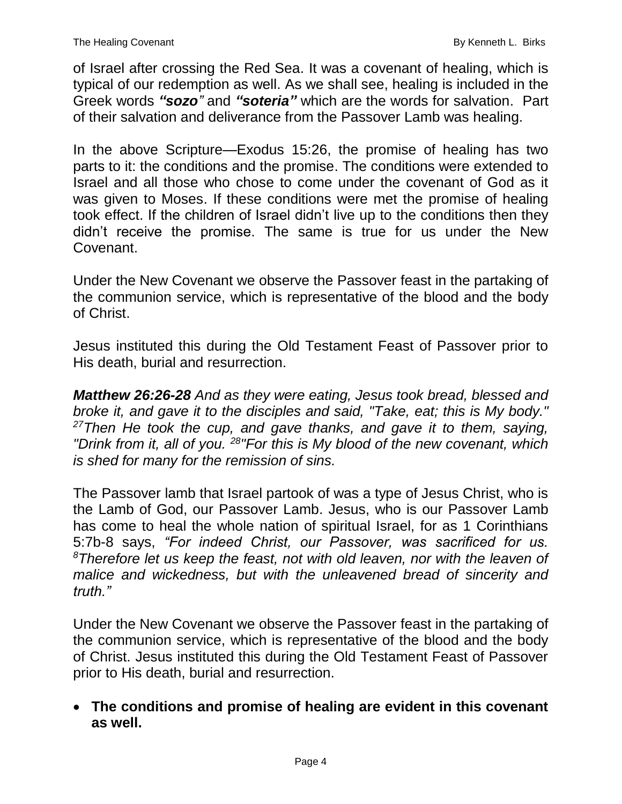of Israel after crossing the Red Sea. It was a covenant of healing, which is typical of our redemption as well. As we shall see, healing is included in the Greek words *"sozo"* and *"soteria"* which are the words for salvation. Part of their salvation and deliverance from the Passover Lamb was healing.

In the above Scripture—Exodus 15:26, the promise of healing has two parts to it: the conditions and the promise. The conditions were extended to Israel and all those who chose to come under the covenant of God as it was given to Moses. If these conditions were met the promise of healing took effect. If the children of Israel didn't live up to the conditions then they didn't receive the promise. The same is true for us under the New Covenant.

Under the New Covenant we observe the Passover feast in the partaking of the communion service, which is representative of the blood and the body of Christ.

Jesus instituted this during the Old Testament Feast of Passover prior to His death, burial and resurrection.

*Matthew 26:26-28 And as they were eating, Jesus took bread, blessed and broke it, and gave it to the disciples and said, "Take, eat; this is My body." <sup>27</sup>Then He took the cup, and gave thanks, and gave it to them, saying, "Drink from it, all of you. <sup>28</sup>"For this is My blood of the new covenant, which is shed for many for the remission of sins.*

The Passover lamb that Israel partook of was a type of Jesus Christ, who is the Lamb of God, our Passover Lamb. Jesus, who is our Passover Lamb has come to heal the whole nation of spiritual Israel, for as 1 Corinthians 5:7b-8 says, *"For indeed Christ, our Passover, was sacrificed for us. <sup>8</sup>Therefore let us keep the feast, not with old leaven, nor with the leaven of malice and wickedness, but with the unleavened bread of sincerity and truth."*

Under the New Covenant we observe the Passover feast in the partaking of the communion service, which is representative of the blood and the body of Christ. Jesus instituted this during the Old Testament Feast of Passover prior to His death, burial and resurrection.

 **The conditions and promise of healing are evident in this covenant as well.**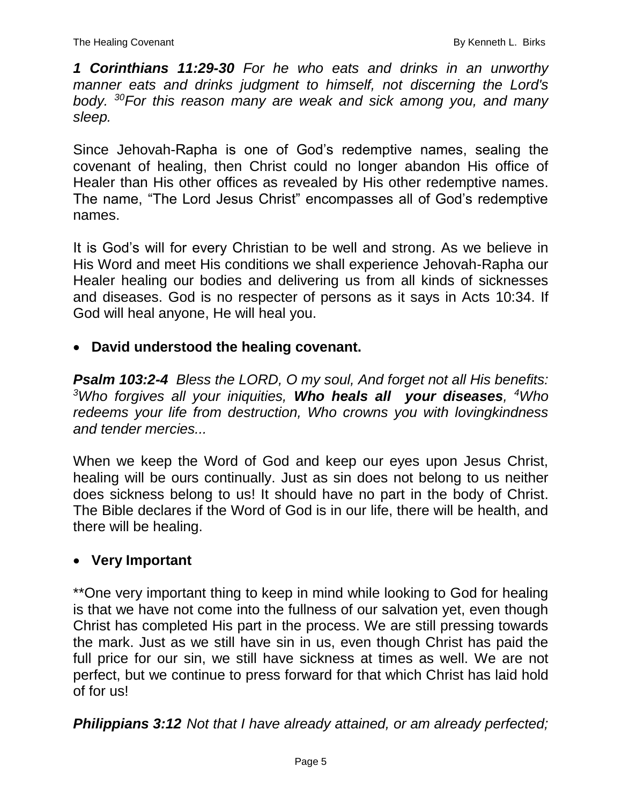*1 Corinthians 11:29-30 For he who eats and drinks in an unworthy manner eats and drinks judgment to himself, not discerning the Lord's body. <sup>30</sup>For this reason many are weak and sick among you, and many sleep.*

Since Jehovah-Rapha is one of God's redemptive names, sealing the covenant of healing, then Christ could no longer abandon His office of Healer than His other offices as revealed by His other redemptive names. The name, "The Lord Jesus Christ" encompasses all of God's redemptive names.

It is God's will for every Christian to be well and strong. As we believe in His Word and meet His conditions we shall experience Jehovah-Rapha our Healer healing our bodies and delivering us from all kinds of sicknesses and diseases. God is no respecter of persons as it says in Acts 10:34. If God will heal anyone, He will heal you.

### **David understood the healing covenant.**

*Psalm 103:2-4 Bless the LORD, O my soul, And forget not all His benefits: <sup>3</sup>Who forgives all your iniquities, Who heals all your diseases, <sup>4</sup>Who redeems your life from destruction, Who crowns you with lovingkindness and tender mercies...*

When we keep the Word of God and keep our eyes upon Jesus Christ, healing will be ours continually. Just as sin does not belong to us neither does sickness belong to us! It should have no part in the body of Christ. The Bible declares if the Word of God is in our life, there will be health, and there will be healing.

### **Very Important**

\*\*One very important thing to keep in mind while looking to God for healing is that we have not come into the fullness of our salvation yet, even though Christ has completed His part in the process. We are still pressing towards the mark. Just as we still have sin in us, even though Christ has paid the full price for our sin, we still have sickness at times as well. We are not perfect, but we continue to press forward for that which Christ has laid hold of for us!

*Philippians 3:12 Not that I have already attained, or am already perfected;*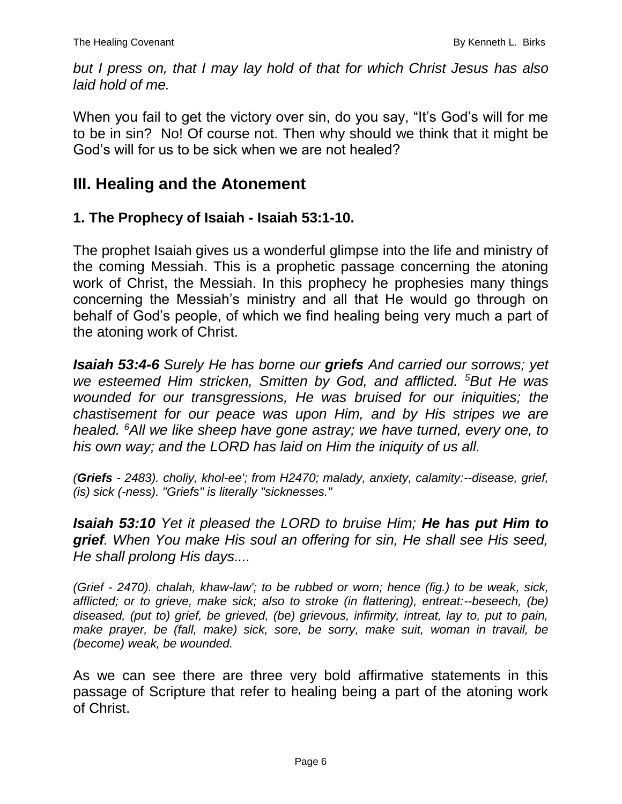*but I press on, that I may lay hold of that for which Christ Jesus has also laid hold of me.*

When you fail to get the victory over sin, do you say, "It's God's will for me to be in sin? No! Of course not. Then why should we think that it might be God's will for us to be sick when we are not healed?

## **III. Healing and the Atonement**

### **1. The Prophecy of Isaiah - Isaiah 53:1-10.**

The prophet Isaiah gives us a wonderful glimpse into the life and ministry of the coming Messiah. This is a prophetic passage concerning the atoning work of Christ, the Messiah. In this prophecy he prophesies many things concerning the Messiah's ministry and all that He would go through on behalf of God's people, of which we find healing being very much a part of the atoning work of Christ.

*Isaiah 53:4-6 Surely He has borne our griefs And carried our sorrows; yet we esteemed Him stricken, Smitten by God, and afflicted. <sup>5</sup>But He was wounded for our transgressions, He was bruised for our iniquities; the chastisement for our peace was upon Him, and by His stripes we are healed. <sup>6</sup>All we like sheep have gone astray; we have turned, every one, to his own way; and the LORD has laid on Him the iniquity of us all.*

*(Griefs - 2483). choliy, khol-ee'; from H2470; malady, anxiety, calamity:--disease, grief, (is) sick (-ness). "Griefs" is literally "sicknesses."*

*Isaiah 53:10 Yet it pleased the LORD to bruise Him; He has put Him to grief. When You make His soul an offering for sin, He shall see His seed, He shall prolong His days....*

*(Grief - 2470). chalah, khaw-law'; to be rubbed or worn; hence (fig.) to be weak, sick, afflicted; or to grieve, make sick; also to stroke (in flattering), entreat:--beseech, (be) diseased, (put to) grief, be grieved, (be) grievous, infirmity, intreat, lay to, put to pain, make prayer, be (fall, make) sick, sore, be sorry, make suit, woman in travail, be (become) weak, be wounded.*

As we can see there are three very bold affirmative statements in this passage of Scripture that refer to healing being a part of the atoning work of Christ.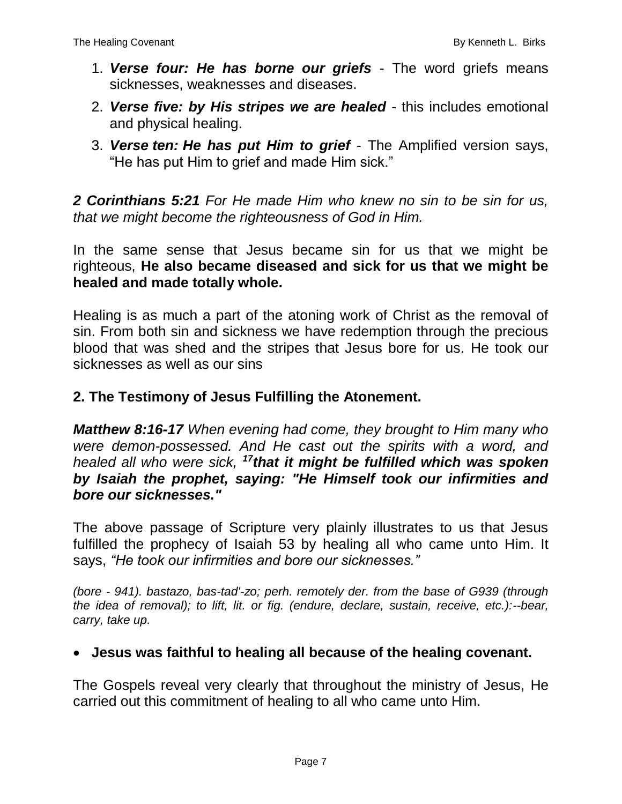- 1. *Verse four: He has borne our griefs* The word griefs means sicknesses, weaknesses and diseases.
- 2. *Verse five: by His stripes we are healed* this includes emotional and physical healing.
- 3. *Verse ten: He has put Him to grief* The Amplified version says, "He has put Him to grief and made Him sick."

*2 Corinthians 5:21 For He made Him who knew no sin to be sin for us, that we might become the righteousness of God in Him.*

In the same sense that Jesus became sin for us that we might be righteous, **He also became diseased and sick for us that we might be healed and made totally whole.** 

Healing is as much a part of the atoning work of Christ as the removal of sin. From both sin and sickness we have redemption through the precious blood that was shed and the stripes that Jesus bore for us. He took our sicknesses as well as our sins

### **2. The Testimony of Jesus Fulfilling the Atonement.**

*Matthew 8:16-17 When evening had come, they brought to Him many who were demon-possessed. And He cast out the spirits with a word, and healed all who were sick, <sup>17</sup>that it might be fulfilled which was spoken by Isaiah the prophet, saying: "He Himself took our infirmities and bore our sicknesses."*

The above passage of Scripture very plainly illustrates to us that Jesus fulfilled the prophecy of Isaiah 53 by healing all who came unto Him. It says, *"He took our infirmities and bore our sicknesses."*

*(bore - 941). bastazo, bas-tad'-zo; perh. remotely der. from the base of G939 (through the idea of removal); to lift, lit. or fig. (endure, declare, sustain, receive, etc.):--bear, carry, take up.*

### **Jesus was faithful to healing all because of the healing covenant.**

The Gospels reveal very clearly that throughout the ministry of Jesus, He carried out this commitment of healing to all who came unto Him.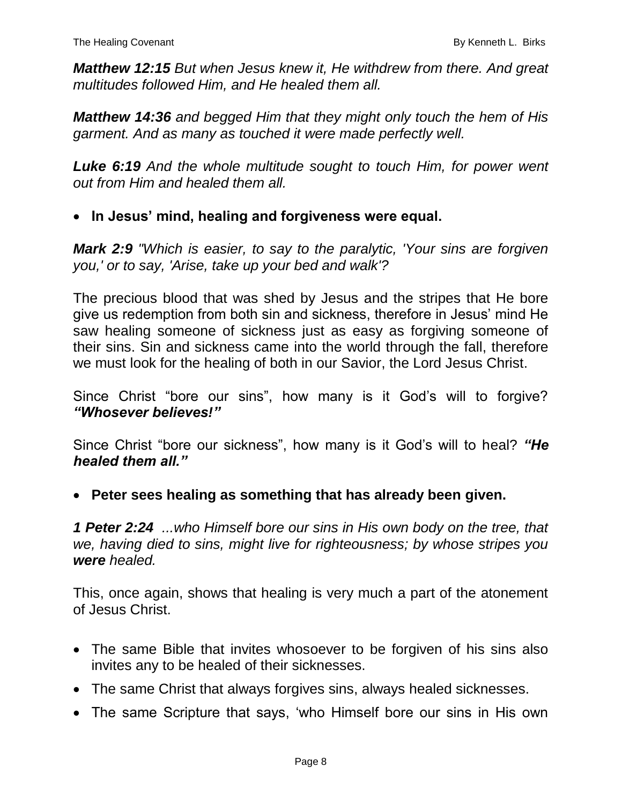*Matthew 12:15 But when Jesus knew it, He withdrew from there. And great multitudes followed Him, and He healed them all.*

*Matthew 14:36 and begged Him that they might only touch the hem of His garment. And as many as touched it were made perfectly well.*

*Luke 6:19 And the whole multitude sought to touch Him, for power went out from Him and healed them all.*

**In Jesus' mind, healing and forgiveness were equal.**

*Mark 2:9 "Which is easier, to say to the paralytic, 'Your sins are forgiven you,' or to say, 'Arise, take up your bed and walk'?*

The precious blood that was shed by Jesus and the stripes that He bore give us redemption from both sin and sickness, therefore in Jesus' mind He saw healing someone of sickness just as easy as forgiving someone of their sins. Sin and sickness came into the world through the fall, therefore we must look for the healing of both in our Savior, the Lord Jesus Christ.

Since Christ "bore our sins", how many is it God's will to forgive? *"Whosever believes!"*

Since Christ "bore our sickness", how many is it God's will to heal? *"He healed them all."*

**Peter sees healing as something that has already been given.**

*1 Peter 2:24 ...who Himself bore our sins in His own body on the tree, that we, having died to sins, might live for righteousness; by whose stripes you were healed.*

This, once again, shows that healing is very much a part of the atonement of Jesus Christ.

- The same Bible that invites whosoever to be forgiven of his sins also invites any to be healed of their sicknesses.
- The same Christ that always forgives sins, always healed sicknesses.
- The same Scripture that says, 'who Himself bore our sins in His own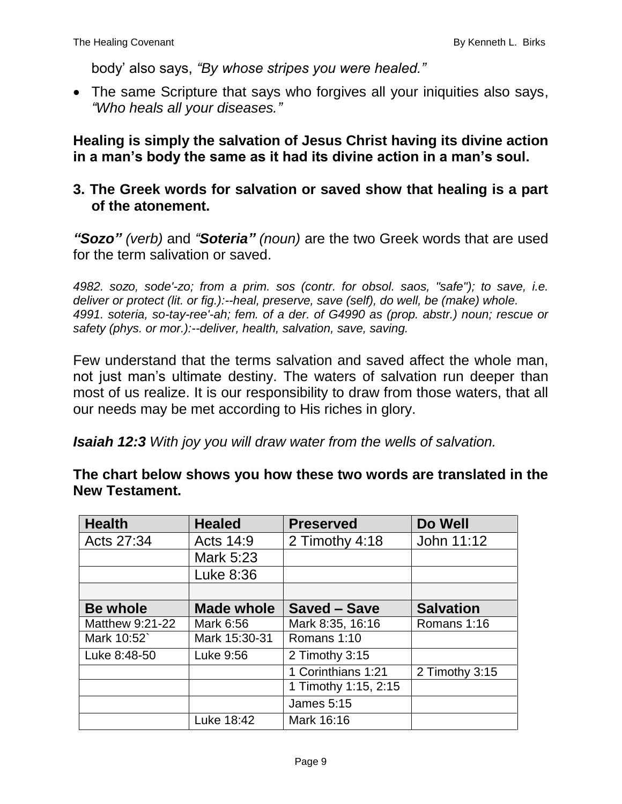body' also says, *"By whose stripes you were healed."*

 The same Scripture that says who forgives all your iniquities also says, *"Who heals all your diseases."*

**Healing is simply the salvation of Jesus Christ having its divine action in a man's body the same as it had its divine action in a man's soul.**

#### **3. The Greek words for salvation or saved show that healing is a part of the atonement.**

*"Sozo" (verb)* and *"Soteria" (noun)* are the two Greek words that are used for the term salivation or saved.

*4982. sozo, sode'-zo; from a prim. sos (contr. for obsol. saos, "safe"); to save, i.e. deliver or protect (lit. or fig.):--heal, preserve, save (self), do well, be (make) whole. 4991. soteria, so-tay-ree'-ah; fem. of a der. of G4990 as (prop. abstr.) noun; rescue or safety (phys. or mor.):--deliver, health, salvation, save, saving.*

Few understand that the terms salvation and saved affect the whole man, not just man's ultimate destiny. The waters of salvation run deeper than most of us realize. It is our responsibility to draw from those waters, that all our needs may be met according to His riches in glory.

*Isaiah 12:3 With joy you will draw water from the wells of salvation.*

**The chart below shows you how these two words are translated in the New Testament.**

| <b>Health</b>   | <b>Healed</b>     | <b>Preserved</b>     | Do Well          |
|-----------------|-------------------|----------------------|------------------|
| Acts 27:34      | Acts 14:9         | 2 Timothy 4:18       | John 11:12       |
|                 | Mark 5:23         |                      |                  |
|                 | Luke 8:36         |                      |                  |
|                 |                   |                      |                  |
| <b>Be whole</b> | <b>Made whole</b> | <b>Saved - Save</b>  | <b>Salvation</b> |
| Matthew 9:21-22 | Mark 6:56         | Mark 8:35, 16:16     | Romans 1:16      |
| Mark 10:52      | Mark 15:30-31     | Romans 1:10          |                  |
| Luke 8:48-50    | Luke 9:56         | 2 Timothy 3:15       |                  |
|                 |                   | 1 Corinthians 1:21   | 2 Timothy 3:15   |
|                 |                   | 1 Timothy 1:15, 2:15 |                  |
|                 |                   | <b>James 5:15</b>    |                  |
|                 | Luke 18:42        | Mark 16:16           |                  |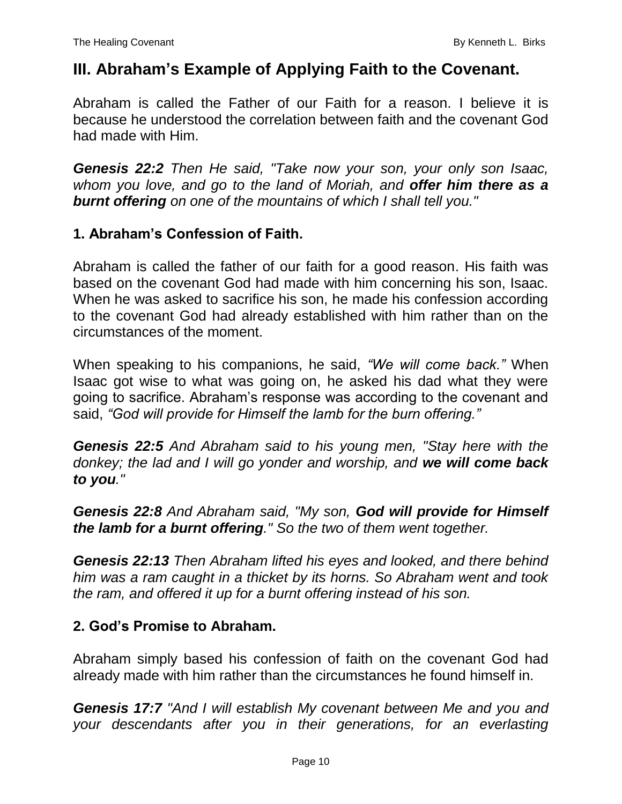## **III. Abraham's Example of Applying Faith to the Covenant.**

Abraham is called the Father of our Faith for a reason. I believe it is because he understood the correlation between faith and the covenant God had made with Him.

*Genesis 22:2 Then He said, "Take now your son, your only son Isaac, whom you love, and go to the land of Moriah, and offer him there as a burnt offering on one of the mountains of which I shall tell you."*

### **1. Abraham's Confession of Faith.**

Abraham is called the father of our faith for a good reason. His faith was based on the covenant God had made with him concerning his son, Isaac. When he was asked to sacrifice his son, he made his confession according to the covenant God had already established with him rather than on the circumstances of the moment.

When speaking to his companions, he said, *"We will come back."* When Isaac got wise to what was going on, he asked his dad what they were going to sacrifice. Abraham's response was according to the covenant and said, *"God will provide for Himself the lamb for the burn offering."*

*Genesis 22:5 And Abraham said to his young men, "Stay here with the donkey; the lad and I will go yonder and worship, and we will come back to you."*

*Genesis 22:8 And Abraham said, "My son, God will provide for Himself the lamb for a burnt offering." So the two of them went together.*

*Genesis 22:13 Then Abraham lifted his eyes and looked, and there behind him was a ram caught in a thicket by its horns. So Abraham went and took the ram, and offered it up for a burnt offering instead of his son.*

#### **2. God's Promise to Abraham.**

Abraham simply based his confession of faith on the covenant God had already made with him rather than the circumstances he found himself in.

*Genesis 17:7 "And I will establish My covenant between Me and you and your descendants after you in their generations, for an everlasting*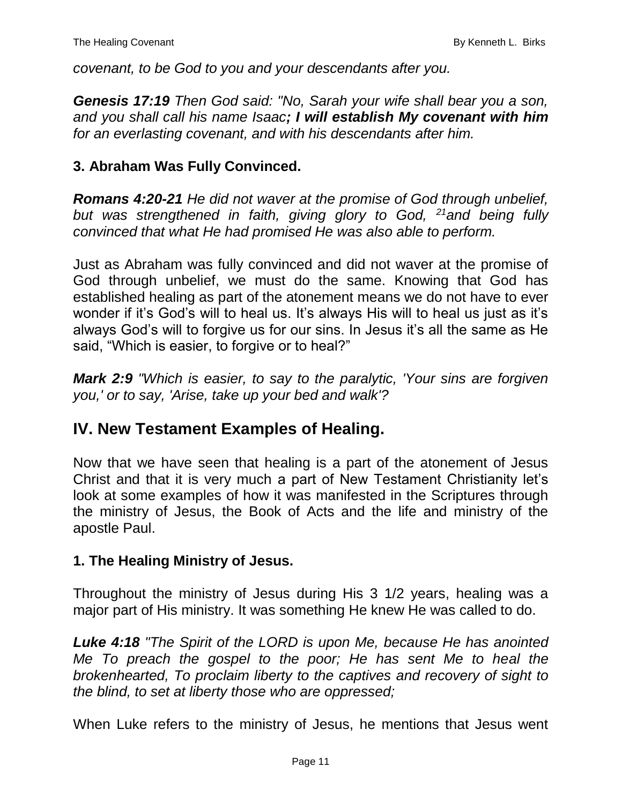*covenant, to be God to you and your descendants after you.*

*Genesis 17:19 Then God said: "No, Sarah your wife shall bear you a son, and you shall call his name Isaac; I will establish My covenant with him for an everlasting covenant, and with his descendants after him.*

#### **3. Abraham Was Fully Convinced.**

*Romans 4:20-21 He did not waver at the promise of God through unbelief, but was strengthened in faith, giving glory to God, <sup>21</sup>and being fully convinced that what He had promised He was also able to perform.*

Just as Abraham was fully convinced and did not waver at the promise of God through unbelief, we must do the same. Knowing that God has established healing as part of the atonement means we do not have to ever wonder if it's God's will to heal us. It's always His will to heal us just as it's always God's will to forgive us for our sins. In Jesus it's all the same as He said, "Which is easier, to forgive or to heal?"

*Mark 2:9 "Which is easier, to say to the paralytic, 'Your sins are forgiven you,' or to say, 'Arise, take up your bed and walk'?*

## **IV. New Testament Examples of Healing.**

Now that we have seen that healing is a part of the atonement of Jesus Christ and that it is very much a part of New Testament Christianity let's look at some examples of how it was manifested in the Scriptures through the ministry of Jesus, the Book of Acts and the life and ministry of the apostle Paul.

#### **1. The Healing Ministry of Jesus.**

Throughout the ministry of Jesus during His 3 1/2 years, healing was a major part of His ministry. It was something He knew He was called to do.

*Luke 4:18 "The Spirit of the LORD is upon Me, because He has anointed Me To preach the gospel to the poor; He has sent Me to heal the brokenhearted, To proclaim liberty to the captives and recovery of sight to the blind, to set at liberty those who are oppressed;*

When Luke refers to the ministry of Jesus, he mentions that Jesus went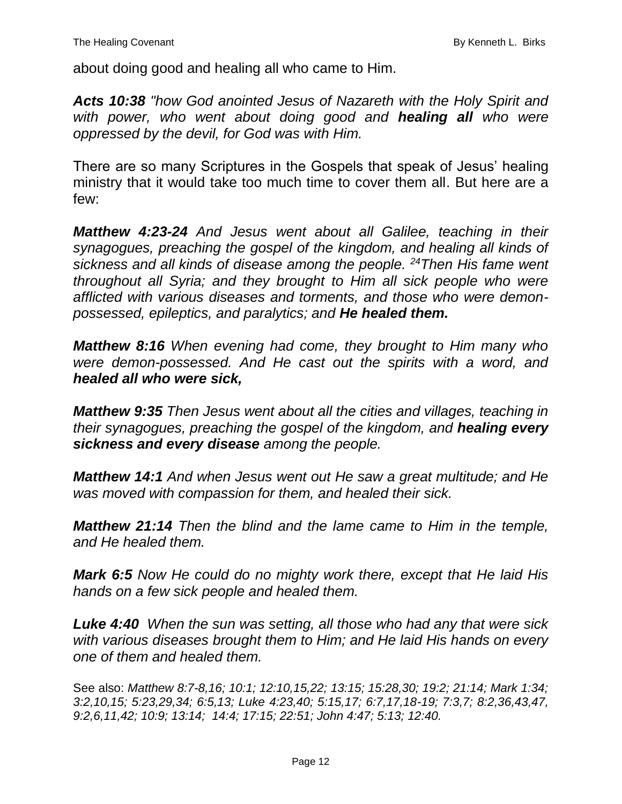about doing good and healing all who came to Him.

*Acts 10:38 "how God anointed Jesus of Nazareth with the Holy Spirit and with power, who went about doing good and healing all who were oppressed by the devil, for God was with Him.*

There are so many Scriptures in the Gospels that speak of Jesus' healing ministry that it would take too much time to cover them all. But here are a few:

*Matthew 4:23-24 And Jesus went about all Galilee, teaching in their synagogues, preaching the gospel of the kingdom, and healing all kinds of sickness and all kinds of disease among the people. <sup>24</sup>Then His fame went throughout all Syria; and they brought to Him all sick people who were afflicted with various diseases and torments, and those who were demonpossessed, epileptics, and paralytics; and He healed them.*

*Matthew 8:16 When evening had come, they brought to Him many who were demon-possessed. And He cast out the spirits with a word, and healed all who were sick,*

*Matthew 9:35 Then Jesus went about all the cities and villages, teaching in their synagogues, preaching the gospel of the kingdom, and healing every sickness and every disease among the people.*

*Matthew 14:1 And when Jesus went out He saw a great multitude; and He was moved with compassion for them, and healed their sick.*

*Matthew 21:14 Then the blind and the lame came to Him in the temple, and He healed them.*

*Mark 6:5 Now He could do no mighty work there, except that He laid His hands on a few sick people and healed them.*

*Luke 4:40 When the sun was setting, all those who had any that were sick with various diseases brought them to Him; and He laid His hands on every one of them and healed them.*

See also: *Matthew 8:7-8,16; 10:1; 12:10,15,22; 13:15; 15:28,30; 19:2; 21:14; Mark 1:34; 3:2,10,15; 5:23,29,34; 6:5,13; Luke 4:23,40; 5:15,17; 6:7,17,18-19; 7:3,7; 8:2,36,43,47, 9:2,6,11,42; 10:9; 13:14; 14:4; 17:15; 22:51; John 4:47; 5:13; 12:40.*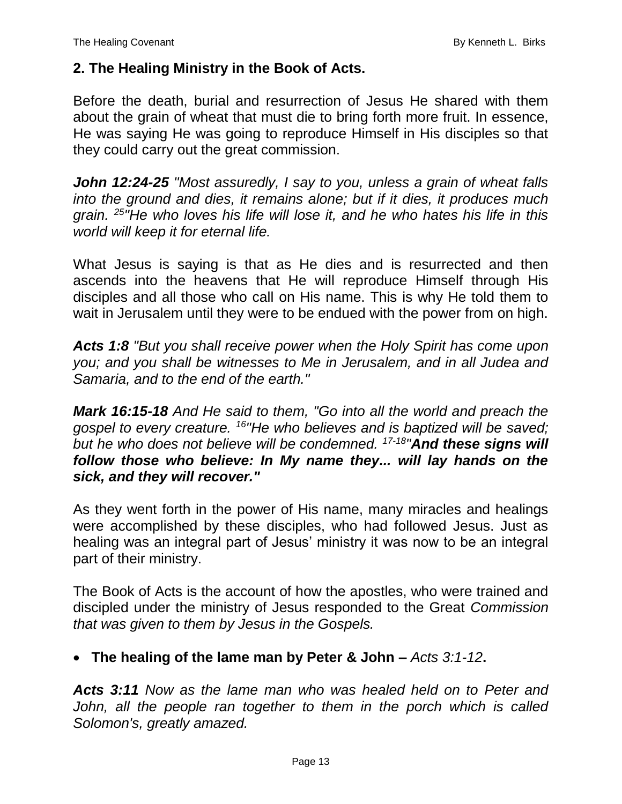### **2. The Healing Ministry in the Book of Acts.**

Before the death, burial and resurrection of Jesus He shared with them about the grain of wheat that must die to bring forth more fruit. In essence, He was saying He was going to reproduce Himself in His disciples so that they could carry out the great commission.

*John 12:24-25 "Most assuredly, I say to you, unless a grain of wheat falls into the ground and dies, it remains alone; but if it dies, it produces much grain. <sup>25</sup>"He who loves his life will lose it, and he who hates his life in this world will keep it for eternal life.*

What Jesus is saying is that as He dies and is resurrected and then ascends into the heavens that He will reproduce Himself through His disciples and all those who call on His name. This is why He told them to wait in Jerusalem until they were to be endued with the power from on high.

*Acts 1:8 "But you shall receive power when the Holy Spirit has come upon you; and you shall be witnesses to Me in Jerusalem, and in all Judea and Samaria, and to the end of the earth."*

*Mark 16:15-18 And He said to them, "Go into all the world and preach the gospel to every creature. <sup>16</sup>"He who believes and is baptized will be saved; but he who does not believe will be condemned. 17-18 "And these signs will follow those who believe: In My name they... will lay hands on the sick, and they will recover."*

As they went forth in the power of His name, many miracles and healings were accomplished by these disciples, who had followed Jesus. Just as healing was an integral part of Jesus' ministry it was now to be an integral part of their ministry.

The Book of Acts is the account of how the apostles, who were trained and discipled under the ministry of Jesus responded to the Great *Commission that was given to them by Jesus in the Gospels.*

### **The healing of the lame man by Peter & John –** *Acts 3:1-12***.**

*Acts 3:11 Now as the lame man who was healed held on to Peter and*  John, all the people ran together to them in the porch which is called *Solomon's, greatly amazed.*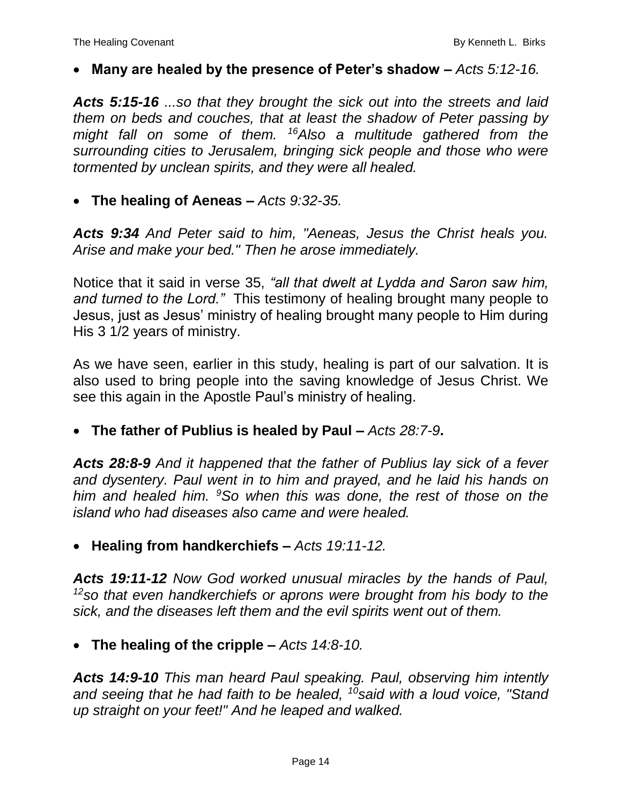#### **Many are healed by the presence of Peter's shadow –** *Acts 5:12-16.*

*Acts 5:15-16 ...so that they brought the sick out into the streets and laid them on beds and couches, that at least the shadow of Peter passing by might fall on some of them. <sup>16</sup>Also a multitude gathered from the surrounding cities to Jerusalem, bringing sick people and those who were tormented by unclean spirits, and they were all healed.*

#### **The healing of Aeneas –** *Acts 9:32-35.*

*Acts 9:34 And Peter said to him, "Aeneas, Jesus the Christ heals you. Arise and make your bed." Then he arose immediately.*

Notice that it said in verse 35, *"all that dwelt at Lydda and Saron saw him, and turned to the Lord."* This testimony of healing brought many people to Jesus, just as Jesus' ministry of healing brought many people to Him during His 3 1/2 years of ministry.

As we have seen, earlier in this study, healing is part of our salvation. It is also used to bring people into the saving knowledge of Jesus Christ. We see this again in the Apostle Paul's ministry of healing.

#### **The father of Publius is healed by Paul –** *Acts 28:7-9***.**

*Acts 28:8-9 And it happened that the father of Publius lay sick of a fever and dysentery. Paul went in to him and prayed, and he laid his hands on him and healed him. <sup>9</sup>So when this was done, the rest of those on the island who had diseases also came and were healed.*

#### **Healing from handkerchiefs –** *Acts 19:11-12.*

*Acts 19:11-12 Now God worked unusual miracles by the hands of Paul, <sup>12</sup>so that even handkerchiefs or aprons were brought from his body to the sick, and the diseases left them and the evil spirits went out of them.*

#### **The healing of the cripple –** *Acts 14:8-10.*

*Acts 14:9-10 This man heard Paul speaking. Paul, observing him intently and seeing that he had faith to be healed, <sup>10</sup>said with a loud voice, "Stand up straight on your feet!" And he leaped and walked.*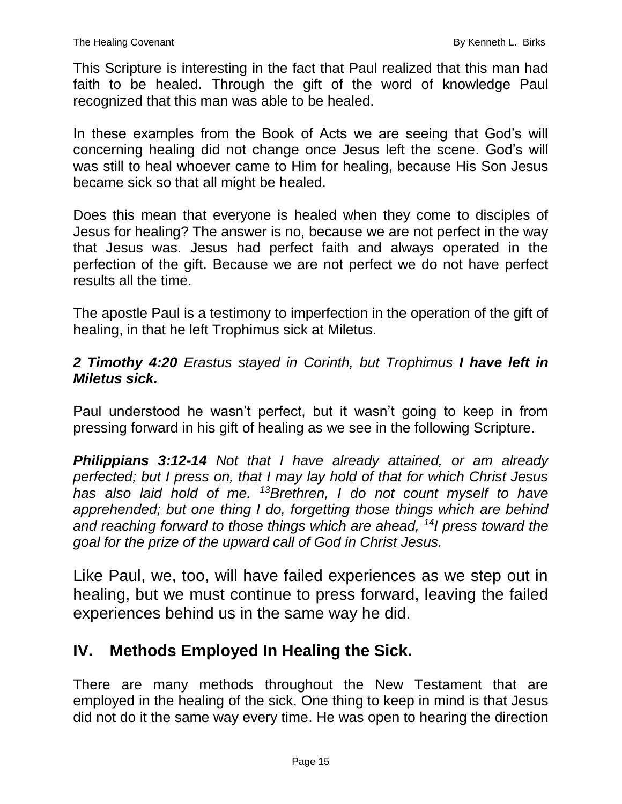This Scripture is interesting in the fact that Paul realized that this man had faith to be healed. Through the gift of the word of knowledge Paul recognized that this man was able to be healed.

In these examples from the Book of Acts we are seeing that God's will concerning healing did not change once Jesus left the scene. God's will was still to heal whoever came to Him for healing, because His Son Jesus became sick so that all might be healed.

Does this mean that everyone is healed when they come to disciples of Jesus for healing? The answer is no, because we are not perfect in the way that Jesus was. Jesus had perfect faith and always operated in the perfection of the gift. Because we are not perfect we do not have perfect results all the time.

The apostle Paul is a testimony to imperfection in the operation of the gift of healing, in that he left Trophimus sick at Miletus.

### *2 Timothy 4:20 Erastus stayed in Corinth, but Trophimus I have left in Miletus sick.*

Paul understood he wasn't perfect, but it wasn't going to keep in from pressing forward in his gift of healing as we see in the following Scripture.

*Philippians 3:12-14 Not that I have already attained, or am already perfected; but I press on, that I may lay hold of that for which Christ Jesus has also laid hold of me. <sup>13</sup>Brethren, I do not count myself to have apprehended; but one thing I do, forgetting those things which are behind and reaching forward to those things which are ahead, <sup>14</sup>I press toward the goal for the prize of the upward call of God in Christ Jesus.*

Like Paul, we, too, will have failed experiences as we step out in healing, but we must continue to press forward, leaving the failed experiences behind us in the same way he did.

## **IV. Methods Employed In Healing the Sick.**

There are many methods throughout the New Testament that are employed in the healing of the sick. One thing to keep in mind is that Jesus did not do it the same way every time. He was open to hearing the direction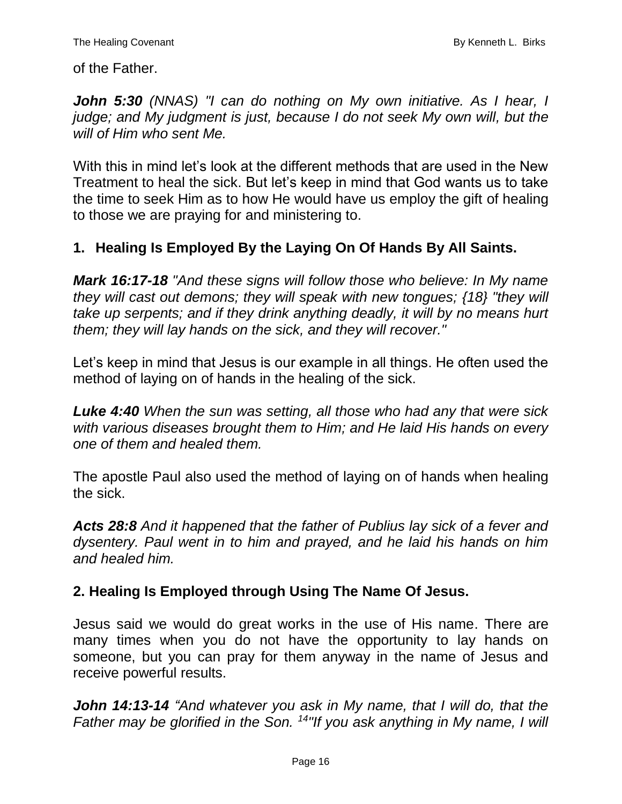of the Father.

*John 5:30 (NNAS) "I can do nothing on My own initiative. As I hear, I judge; and My judgment is just, because I do not seek My own will, but the will of Him who sent Me.*

With this in mind let's look at the different methods that are used in the New Treatment to heal the sick. But let's keep in mind that God wants us to take the time to seek Him as to how He would have us employ the gift of healing to those we are praying for and ministering to.

## **1. Healing Is Employed By the Laying On Of Hands By All Saints.**

*Mark 16:17-18 "And these signs will follow those who believe: In My name they will cast out demons; they will speak with new tongues; {18} "they will take up serpents; and if they drink anything deadly, it will by no means hurt them; they will lay hands on the sick, and they will recover."*

Let's keep in mind that Jesus is our example in all things. He often used the method of laying on of hands in the healing of the sick.

*Luke 4:40 When the sun was setting, all those who had any that were sick with various diseases brought them to Him; and He laid His hands on every one of them and healed them.*

The apostle Paul also used the method of laying on of hands when healing the sick.

*Acts 28:8 And it happened that the father of Publius lay sick of a fever and dysentery. Paul went in to him and prayed, and he laid his hands on him and healed him.*

## **2. Healing Is Employed through Using The Name Of Jesus.**

Jesus said we would do great works in the use of His name. There are many times when you do not have the opportunity to lay hands on someone, but you can pray for them anyway in the name of Jesus and receive powerful results.

*John 14:13-14 "And whatever you ask in My name, that I will do, that the Father may be glorified in the Son. 14"If you ask anything in My name, I will*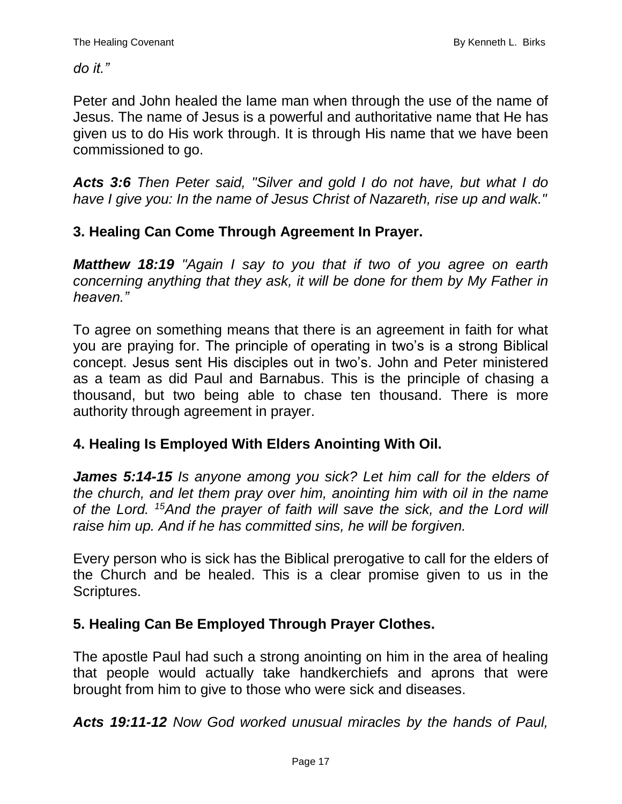*do it."*

Peter and John healed the lame man when through the use of the name of Jesus. The name of Jesus is a powerful and authoritative name that He has given us to do His work through. It is through His name that we have been commissioned to go.

*Acts 3:6 Then Peter said, "Silver and gold I do not have, but what I do have I give you: In the name of Jesus Christ of Nazareth, rise up and walk."*

## **3. Healing Can Come Through Agreement In Prayer.**

*Matthew 18:19 "Again I say to you that if two of you agree on earth concerning anything that they ask, it will be done for them by My Father in heaven."*

To agree on something means that there is an agreement in faith for what you are praying for. The principle of operating in two's is a strong Biblical concept. Jesus sent His disciples out in two's. John and Peter ministered as a team as did Paul and Barnabus. This is the principle of chasing a thousand, but two being able to chase ten thousand. There is more authority through agreement in prayer.

## **4. Healing Is Employed With Elders Anointing With Oil.**

*James 5:14-15 Is anyone among you sick? Let him call for the elders of the church, and let them pray over him, anointing him with oil in the name of the Lord. <sup>15</sup>And the prayer of faith will save the sick, and the Lord will raise him up. And if he has committed sins, he will be forgiven.*

Every person who is sick has the Biblical prerogative to call for the elders of the Church and be healed. This is a clear promise given to us in the Scriptures.

## **5. Healing Can Be Employed Through Prayer Clothes.**

The apostle Paul had such a strong anointing on him in the area of healing that people would actually take handkerchiefs and aprons that were brought from him to give to those who were sick and diseases.

*Acts 19:11-12 Now God worked unusual miracles by the hands of Paul,*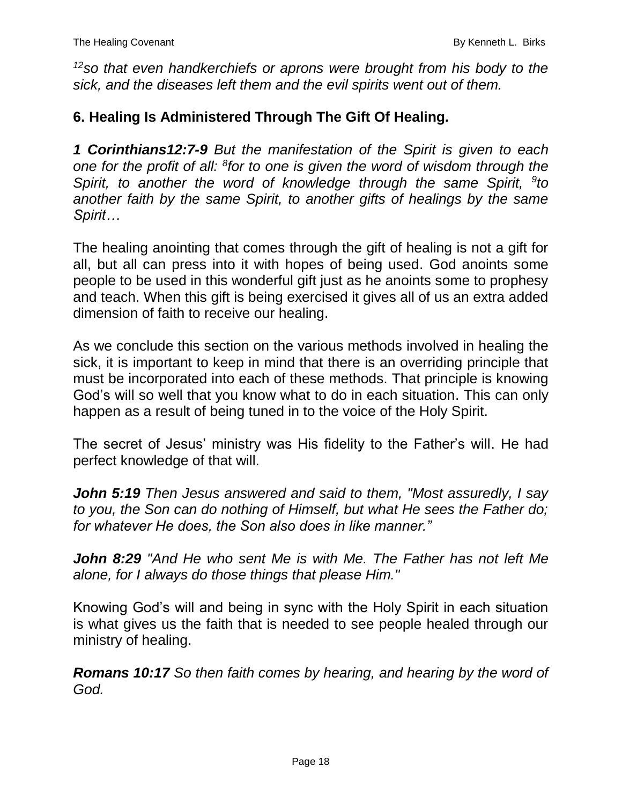*<sup>12</sup>so that even handkerchiefs or aprons were brought from his body to the sick, and the diseases left them and the evil spirits went out of them.*

### **6. Healing Is Administered Through The Gift Of Healing.**

*1 Corinthians12:7-9 But the manifestation of the Spirit is given to each one for the profit of all: <sup>8</sup> for to one is given the word of wisdom through the Spirit, to another the word of knowledge through the same Spirit, <sup>9</sup>to another faith by the same Spirit, to another gifts of healings by the same Spirit…*

The healing anointing that comes through the gift of healing is not a gift for all, but all can press into it with hopes of being used. God anoints some people to be used in this wonderful gift just as he anoints some to prophesy and teach. When this gift is being exercised it gives all of us an extra added dimension of faith to receive our healing.

As we conclude this section on the various methods involved in healing the sick, it is important to keep in mind that there is an overriding principle that must be incorporated into each of these methods. That principle is knowing God's will so well that you know what to do in each situation. This can only happen as a result of being tuned in to the voice of the Holy Spirit.

The secret of Jesus' ministry was His fidelity to the Father's will. He had perfect knowledge of that will.

*John 5:19 Then Jesus answered and said to them, "Most assuredly, I say to you, the Son can do nothing of Himself, but what He sees the Father do; for whatever He does, the Son also does in like manner."*

*John 8:29 "And He who sent Me is with Me. The Father has not left Me alone, for I always do those things that please Him."*

Knowing God's will and being in sync with the Holy Spirit in each situation is what gives us the faith that is needed to see people healed through our ministry of healing.

*Romans 10:17 So then faith comes by hearing, and hearing by the word of God.*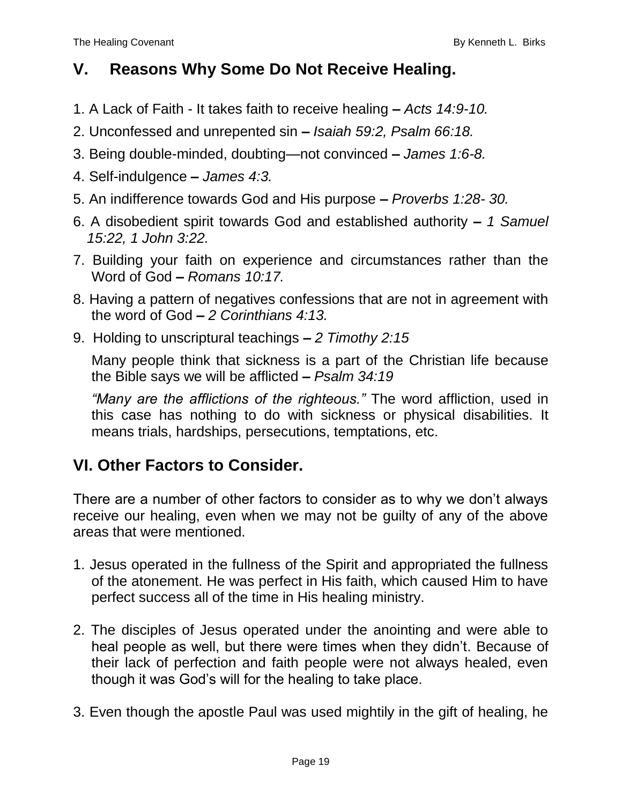## **V. Reasons Why Some Do Not Receive Healing.**

- 1. A Lack of Faith It takes faith to receive healing **–** *Acts 14:9-10.*
- 2. Unconfessed and unrepented sin **–** *Isaiah 59:2, Psalm 66:18.*
- 3. Being double-minded, doubting—not convinced **–** *James 1:6-8.*
- 4. Self-indulgence **–** *James 4:3.*
- 5. An indifference towards God and His purpose **–** *Proverbs 1:28- 30.*
- 6. A disobedient spirit towards God and established authority **–** *1 Samuel 15:22, 1 John 3:22.*
- 7. Building your faith on experience and circumstances rather than the Word of God **–** *Romans 10:17.*
- 8. Having a pattern of negatives confessions that are not in agreement with the word of God **–** *2 Corinthians 4:13.*
- 9. Holding to unscriptural teachings **–** *2 Timothy 2:15*

Many people think that sickness is a part of the Christian life because the Bible says we will be afflicted **–** *Psalm 34:19*

*"Many are the afflictions of the righteous."* The word affliction, used in this case has nothing to do with sickness or physical disabilities. It means trials, hardships, persecutions, temptations, etc.

# **VI. Other Factors to Consider.**

There are a number of other factors to consider as to why we don't always receive our healing, even when we may not be guilty of any of the above areas that were mentioned.

- 1. Jesus operated in the fullness of the Spirit and appropriated the fullness of the atonement. He was perfect in His faith, which caused Him to have perfect success all of the time in His healing ministry.
- 2. The disciples of Jesus operated under the anointing and were able to heal people as well, but there were times when they didn't. Because of their lack of perfection and faith people were not always healed, even though it was God's will for the healing to take place.
- 3. Even though the apostle Paul was used mightily in the gift of healing, he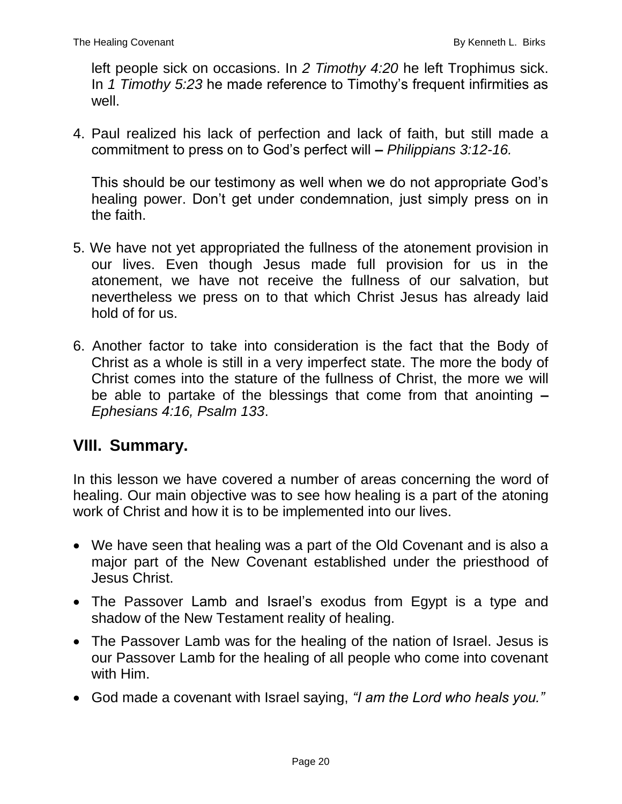left people sick on occasions. In *2 Timothy 4:20* he left Trophimus sick. In *1 Timothy 5:23* he made reference to Timothy's frequent infirmities as well.

4. Paul realized his lack of perfection and lack of faith, but still made a commitment to press on to God's perfect will **–** *Philippians 3:12-16.*

This should be our testimony as well when we do not appropriate God's healing power. Don't get under condemnation, just simply press on in the faith.

- 5. We have not yet appropriated the fullness of the atonement provision in our lives. Even though Jesus made full provision for us in the atonement, we have not receive the fullness of our salvation, but nevertheless we press on to that which Christ Jesus has already laid hold of for us.
- 6. Another factor to take into consideration is the fact that the Body of Christ as a whole is still in a very imperfect state. The more the body of Christ comes into the stature of the fullness of Christ, the more we will be able to partake of the blessings that come from that anointing **–** *Ephesians 4:16, Psalm 133*.

## **VIII. Summary.**

In this lesson we have covered a number of areas concerning the word of healing. Our main objective was to see how healing is a part of the atoning work of Christ and how it is to be implemented into our lives.

- We have seen that healing was a part of the Old Covenant and is also a major part of the New Covenant established under the priesthood of Jesus Christ.
- The Passover Lamb and Israel's exodus from Egypt is a type and shadow of the New Testament reality of healing.
- The Passover Lamb was for the healing of the nation of Israel. Jesus is our Passover Lamb for the healing of all people who come into covenant with Him.
- God made a covenant with Israel saying, *"I am the Lord who heals you."*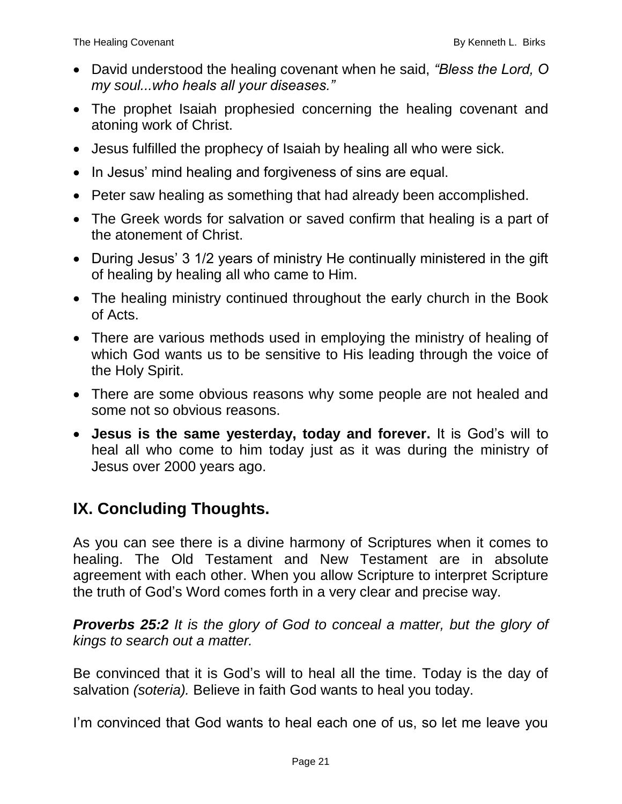- David understood the healing covenant when he said, *"Bless the Lord, O my soul...who heals all your diseases."*
- The prophet Isaiah prophesied concerning the healing covenant and atoning work of Christ.
- Jesus fulfilled the prophecy of Isaiah by healing all who were sick.
- In Jesus' mind healing and forgiveness of sins are equal.
- Peter saw healing as something that had already been accomplished.
- The Greek words for salvation or saved confirm that healing is a part of the atonement of Christ.
- During Jesus' 3 1/2 years of ministry He continually ministered in the gift of healing by healing all who came to Him.
- The healing ministry continued throughout the early church in the Book of Acts.
- There are various methods used in employing the ministry of healing of which God wants us to be sensitive to His leading through the voice of the Holy Spirit.
- There are some obvious reasons why some people are not healed and some not so obvious reasons.
- **Jesus is the same yesterday, today and forever.** It is God's will to heal all who come to him today just as it was during the ministry of Jesus over 2000 years ago.

# **IX. Concluding Thoughts.**

As you can see there is a divine harmony of Scriptures when it comes to healing. The Old Testament and New Testament are in absolute agreement with each other. When you allow Scripture to interpret Scripture the truth of God's Word comes forth in a very clear and precise way.

*Proverbs 25:2 It is the glory of God to conceal a matter, but the glory of kings to search out a matter.*

Be convinced that it is God's will to heal all the time. Today is the day of salvation *(soteria).* Believe in faith God wants to heal you today.

I'm convinced that God wants to heal each one of us, so let me leave you